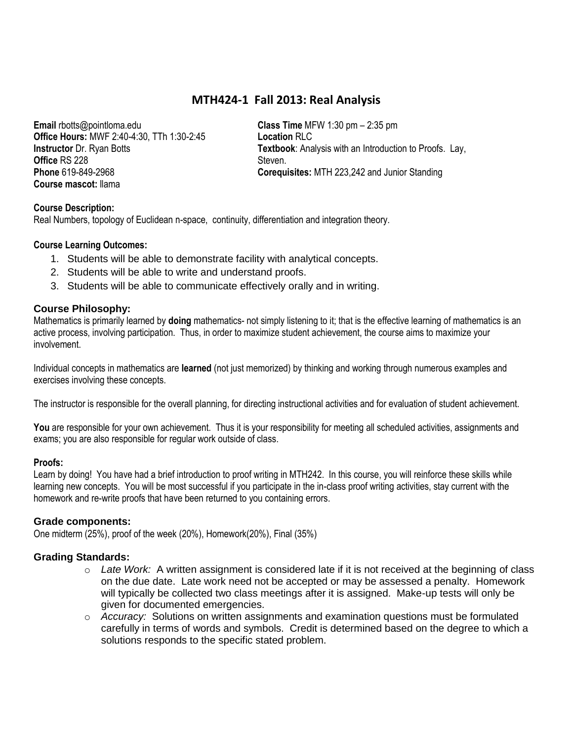# **MTH424-1 Fall 2013: Real Analysis**

**Email** rbotts@pointloma.edu **Office Hours:** MWF 2:40-4:30, TTh 1:30-2:45 **Instructor** Dr. Ryan Botts **Office** RS 228 **Phone** 619-849-2968 **Course mascot:** llama

**Class Time** MFW 1:30 pm – 2:35 pm **Location** RLC **Textbook**: Analysis with an Introduction to Proofs. Lay, Steven. **Corequisites:** MTH 223,242 and Junior Standing

# **Course Description:**

Real Numbers, topology of Euclidean n-space, continuity, differentiation and integration theory.

## **Course Learning Outcomes:**

- 1. Students will be able to demonstrate facility with analytical concepts.
- 2. Students will be able to write and understand proofs.
- 3. Students will be able to communicate effectively orally and in writing.

## **Course Philosophy:**

Mathematics is primarily learned by **doing** mathematics- not simply listening to it; that is the effective learning of mathematics is an active process, involving participation. Thus, in order to maximize student achievement, the course aims to maximize your involvement.

Individual concepts in mathematics are **learned** (not just memorized) by thinking and working through numerous examples and exercises involving these concepts.

The instructor is responsible for the overall planning, for directing instructional activities and for evaluation of student achievement.

You are responsible for your own achievement. Thus it is your responsibility for meeting all scheduled activities, assignments and exams; you are also responsible for regular work outside of class.

### **Proofs:**

Learn by doing! You have had a brief introduction to proof writing in MTH242. In this course, you will reinforce these skills while learning new concepts. You will be most successful if you participate in the in-class proof writing activities, stay current with the homework and re-write proofs that have been returned to you containing errors.

### **Grade components:**

One midterm (25%), proof of the week (20%), Homework(20%), Final (35%)

# **Grading Standards:**

- o *Late Work:* A written assignment is considered late if it is not received at the beginning of class on the due date. Late work need not be accepted or may be assessed a penalty. Homework will typically be collected two class meetings after it is assigned. Make-up tests will only be given for documented emergencies.
- o *Accuracy:* Solutions on written assignments and examination questions must be formulated carefully in terms of words and symbols. Credit is determined based on the degree to which a solutions responds to the specific stated problem.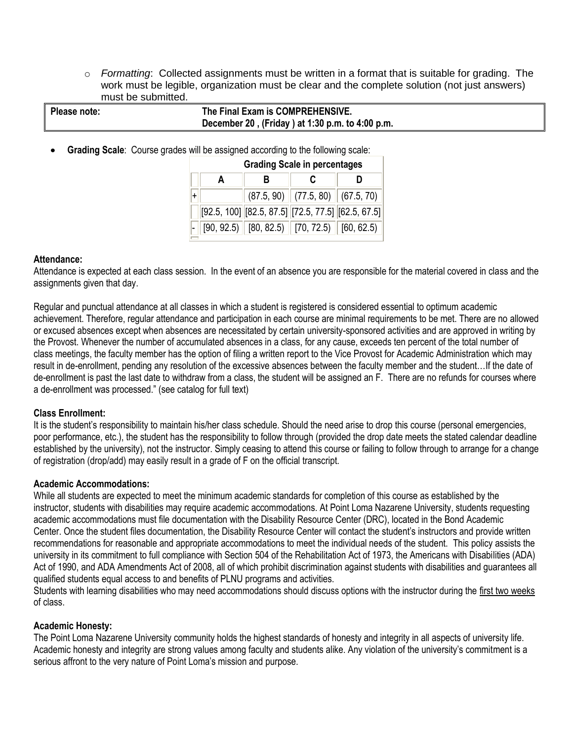o *Formatting*: Collected assignments must be written in a format that is suitable for grading. The work must be legible, organization must be clear and the complete solution (not just answers) must be submitted.

| Please note: | The Final Exam is COMPREHENSIVE.                |
|--------------|-------------------------------------------------|
|              | December 20, (Friday) at 1:30 p.m. to 4:00 p.m. |
|              |                                                 |

**Grading Scale**: Course grades will be assigned according to the following scale:

|     | <b>Grading Scale in percentages</b> |                                                            |                                    |                                                         |  |  |  |  |  |  |  |
|-----|-------------------------------------|------------------------------------------------------------|------------------------------------|---------------------------------------------------------|--|--|--|--|--|--|--|
|     | A                                   |                                                            |                                    |                                                         |  |  |  |  |  |  |  |
| $+$ |                                     |                                                            | $(87.5, 90)$ (77.5, 80) (67.5, 70) |                                                         |  |  |  |  |  |  |  |
|     |                                     | $[92.5, 100]$ $[82.5, 87.5]$ $[72.5, 77.5]$ $[62.5, 67.5]$ |                                    |                                                         |  |  |  |  |  |  |  |
|     |                                     |                                                            |                                    | $[90, 92.5)$ $[80, 82.5)$ $[70, 72.5)$ $[60, 62.5)$ $]$ |  |  |  |  |  |  |  |
|     |                                     |                                                            |                                    |                                                         |  |  |  |  |  |  |  |

## **Attendance:**

Attendance is expected at each class session. In the event of an absence you are responsible for the material covered in class and the assignments given that day.

Regular and punctual attendance at all classes in which a student is registered is considered essential to optimum academic achievement. Therefore, regular attendance and participation in each course are minimal requirements to be met. There are no allowed or excused absences except when absences are necessitated by certain university-sponsored activities and are approved in writing by the Provost. Whenever the number of accumulated absences in a class, for any cause, exceeds ten percent of the total number of class meetings, the faculty member has the option of filing a written report to the Vice Provost for Academic Administration which may result in de-enrollment, pending any resolution of the excessive absences between the faculty member and the student…If the date of de-enrollment is past the last date to withdraw from a class, the student will be assigned an F. There are no refunds for courses where a de-enrollment was processed." (see catalog for full text)

### **Class Enrollment:**

It is the student's responsibility to maintain his/her class schedule. Should the need arise to drop this course (personal emergencies, poor performance, etc.), the student has the responsibility to follow through (provided the drop date meets the stated calendar deadline established by the university), not the instructor. Simply ceasing to attend this course or failing to follow through to arrange for a change of registration (drop/add) may easily result in a grade of F on the official transcript.

### **Academic Accommodations:**

While all students are expected to meet the minimum academic standards for completion of this course as established by the instructor, students with disabilities may require academic accommodations. At Point Loma Nazarene University, students requesting academic accommodations must file documentation with the Disability Resource Center (DRC), located in the Bond Academic Center. Once the student files documentation, the Disability Resource Center will contact the student's instructors and provide written recommendations for reasonable and appropriate accommodations to meet the individual needs of the student. This policy assists the university in its commitment to full compliance with Section 504 of the Rehabilitation Act of 1973, the Americans with Disabilities (ADA) Act of 1990, and ADA Amendments Act of 2008, all of which prohibit discrimination against students with disabilities and guarantees all qualified students equal access to and benefits of PLNU programs and activities.

Students with learning disabilities who may need accommodations should discuss options with the instructor during the first two weeks of class.

# **Academic Honesty:**

The Point Loma Nazarene University community holds the highest standards of honesty and integrity in all aspects of university life. Academic honesty and integrity are strong values among faculty and students alike. Any violation of the university's commitment is a serious affront to the very nature of Point Loma's mission and purpose.